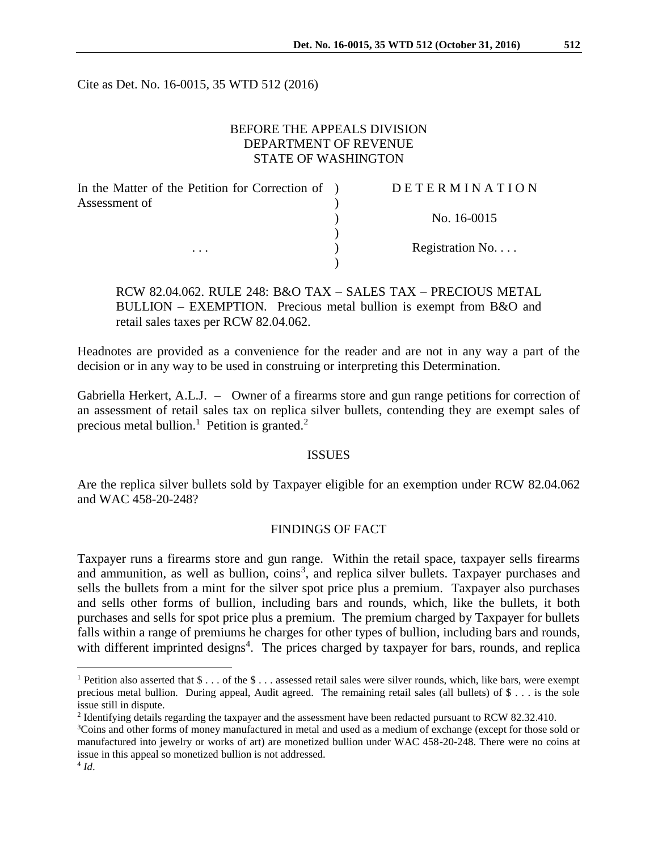Cite as Det. No. 16-0015, 35 WTD 512 (2016)

# BEFORE THE APPEALS DIVISION DEPARTMENT OF REVENUE STATE OF WASHINGTON

| In the Matter of the Petition for Correction of ) | <b>DETERMINATION</b> |
|---------------------------------------------------|----------------------|
| Assessment of                                     |                      |
|                                                   | No. 16-0015          |
|                                                   |                      |
| $\cdots$                                          | Registration No      |
|                                                   |                      |

RCW 82.04.062. RULE 248: B&O TAX – SALES TAX – PRECIOUS METAL BULLION – EXEMPTION. Precious metal bullion is exempt from B&O and retail sales taxes per RCW 82.04.062.

Headnotes are provided as a convenience for the reader and are not in any way a part of the decision or in any way to be used in construing or interpreting this Determination.

Gabriella Herkert, A.L.J. – Owner of a firearms store and gun range petitions for correction of an assessment of retail sales tax on replica silver bullets, contending they are exempt sales of precious metal bullion.<sup>1</sup> Petition is granted.<sup>2</sup>

#### ISSUES

Are the replica silver bullets sold by Taxpayer eligible for an exemption under RCW 82.04.062 and WAC 458-20-248?

### FINDINGS OF FACT

Taxpayer runs a firearms store and gun range. Within the retail space, taxpayer sells firearms and ammunition, as well as bullion,  $\cosh^3$ , and replica silver bullets. Taxpayer purchases and sells the bullets from a mint for the silver spot price plus a premium. Taxpayer also purchases and sells other forms of bullion, including bars and rounds, which, like the bullets, it both purchases and sells for spot price plus a premium. The premium charged by Taxpayer for bullets falls within a range of premiums he charges for other types of bullion, including bars and rounds, with different imprinted designs<sup>4</sup>. The prices charged by taxpayer for bars, rounds, and replica

 $\overline{a}$ 

<sup>&</sup>lt;sup>1</sup> Petition also asserted that  $\$\dots$  of the  $\$\dots$  assessed retail sales were silver rounds, which, like bars, were exempt precious metal bullion. During appeal, Audit agreed. The remaining retail sales (all bullets) of \$ . . . is the sole issue still in dispute.

<sup>&</sup>lt;sup>2</sup> Identifying details regarding the taxpayer and the assessment have been redacted pursuant to RCW 82.32.410.

<sup>3</sup>Coins and other forms of money manufactured in metal and used as a medium of exchange (except for those sold or manufactured into jewelry or works of art) are monetized bullion under WAC 458-20-248. There were no coins at issue in this appeal so monetized bullion is not addressed.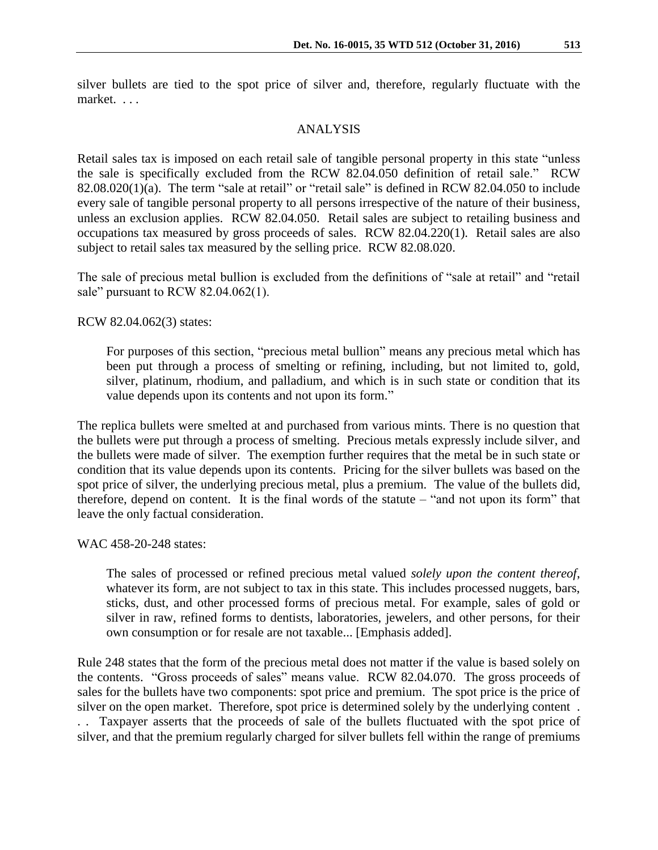silver bullets are tied to the spot price of silver and, therefore, regularly fluctuate with the market. . . .

# ANALYSIS

Retail sales tax is imposed on each retail sale of tangible personal property in this state "unless the sale is specifically excluded from the RCW 82.04.050 definition of retail sale." RCW 82.08.020(1)(a). The term "sale at retail" or "retail sale" is defined in RCW 82.04.050 to include every sale of tangible personal property to all persons irrespective of the nature of their business, unless an exclusion applies. RCW 82.04.050. Retail sales are subject to retailing business and occupations tax measured by gross proceeds of sales. RCW 82.04.220(1). Retail sales are also subject to retail sales tax measured by the selling price. RCW 82.08.020.

The sale of precious metal bullion is excluded from the definitions of "sale at retail" and "retail sale" pursuant to RCW 82.04.062(1).

RCW 82.04.062(3) states:

For purposes of this section, "precious metal bullion" means any precious metal which has been put through a process of smelting or refining, including, but not limited to, gold, silver, platinum, rhodium, and palladium, and which is in such state or condition that its value depends upon its contents and not upon its form."

The replica bullets were smelted at and purchased from various mints. There is no question that the bullets were put through a process of smelting. Precious metals expressly include silver, and the bullets were made of silver. The exemption further requires that the metal be in such state or condition that its value depends upon its contents. Pricing for the silver bullets was based on the spot price of silver, the underlying precious metal, plus a premium. The value of the bullets did, therefore, depend on content. It is the final words of the statute – "and not upon its form" that leave the only factual consideration.

WAC 458-20-248 states:

The sales of processed or refined precious metal valued *solely upon the content thereof*, whatever its form, are not subject to tax in this state. This includes processed nuggets, bars, sticks, dust, and other processed forms of precious metal. For example, sales of gold or silver in raw, refined forms to dentists, laboratories, jewelers, and other persons, for their own consumption or for resale are not taxable... [Emphasis added].

Rule 248 states that the form of the precious metal does not matter if the value is based solely on the contents. "Gross proceeds of sales" means value. RCW 82.04.070. The gross proceeds of sales for the bullets have two components: spot price and premium. The spot price is the price of silver on the open market. Therefore, spot price is determined solely by the underlying content . . . Taxpayer asserts that the proceeds of sale of the bullets fluctuated with the spot price of silver, and that the premium regularly charged for silver bullets fell within the range of premiums